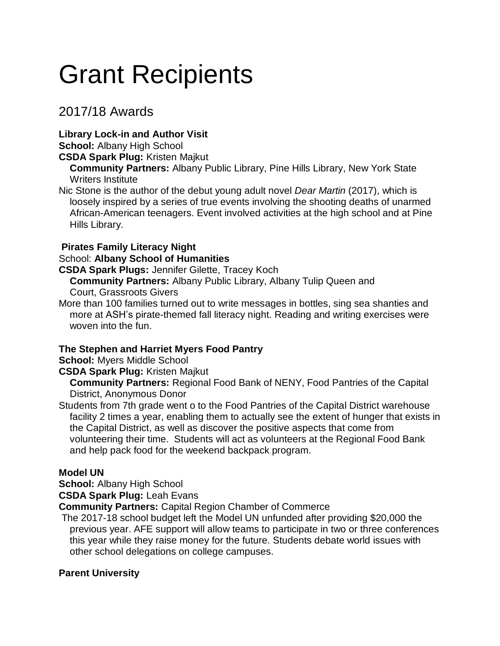# Grant Recipients

# 2017/18 Awards

## **Library Lock-in and Author Visit**

**School:** Albany High School

**CSDA Spark Plug:** Kristen Majkut

**Community Partners:** Albany Public Library, Pine Hills Library, New York State Writers Institute

Nic Stone is the author of the debut young adult novel *Dear Martin* (2017), which is loosely inspired by a series of true events involving the shooting deaths of unarmed African-American teenagers. Event involved activities at the high school and at Pine Hills Library.

## **Pirates Family Literacy Night**

## School: **Albany School of Humanities**

**CSDA Spark Plugs:** Jennifer Gilette, Tracey Koch

**Community Partners:** Albany Public Library, Albany Tulip Queen and Court, Grassroots Givers

More than 100 families turned out to write messages in bottles, sing sea shanties and more at ASH's pirate-themed fall literacy night. Reading and writing exercises were woven into the fun.

## **The Stephen and Harriet Myers Food Pantry**

**School:** Myers Middle School

**CSDA Spark Plug:** Kristen Majkut

**Community Partners:** Regional Food Bank of NENY, Food Pantries of the Capital District, Anonymous Donor

Students from 7th grade went o to the Food Pantries of the Capital District warehouse facility 2 times a year, enabling them to actually see the extent of hunger that exists in the Capital District, as well as discover the positive aspects that come from volunteering their time. Students will act as volunteers at the Regional Food Bank and help pack food for the weekend backpack program.

## **Model UN**

**School:** Albany High School

**CSDA Spark Plug:** Leah Evans

**Community Partners:** Capital Region Chamber of Commerce

The 2017-18 school budget left the Model UN unfunded after providing \$20,000 the previous year. AFE support will allow teams to participate in two or three conferences this year while they raise money for the future. Students debate world issues with other school delegations on college campuses.

#### **Parent University**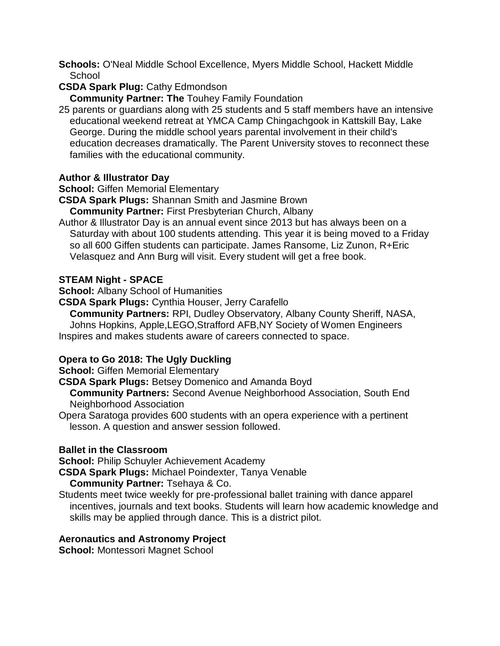- **Schools:** O'Neal Middle School Excellence, Myers Middle School, Hackett Middle **School**
- **CSDA Spark Plug:** Cathy Edmondson

**Community Partner: The** Touhey Family Foundation

25 parents or guardians along with 25 students and 5 staff members have an intensive educational weekend retreat at YMCA Camp Chingachgook in Kattskill Bay, Lake George. During the middle school years parental involvement in their child's education decreases dramatically. The Parent University stoves to reconnect these families with the educational community.

#### **Author & Illustrator Day**

**School: Giffen Memorial Elementary** 

**CSDA Spark Plugs:** Shannan Smith and Jasmine Brown

**Community Partner:** First Presbyterian Church, Albany

Author & Illustrator Day is an annual event since 2013 but has always been on a Saturday with about 100 students attending. This year it is being moved to a Friday so all 600 Giffen students can participate. James Ransome, Liz Zunon, R+Eric Velasquez and Ann Burg will visit. Every student will get a free book.

#### **STEAM Night - SPACE**

**School:** Albany School of Humanities

**CSDA Spark Plugs:** Cynthia Houser, Jerry Carafello

**Community Partners:** RPI, Dudley Observatory, Albany County Sheriff, NASA, Johns Hopkins, Apple,LEGO,Strafford AFB,NY Society of Women Engineers Inspires and makes students aware of careers connected to space.

#### **Opera to Go 2018: The Ugly Duckling**

**School: Giffen Memorial Elementary** 

**CSDA Spark Plugs:** Betsey Domenico and Amanda Boyd

**Community Partners:** Second Avenue Neighborhood Association, South End Neighborhood Association

Opera Saratoga provides 600 students with an opera experience with a pertinent lesson. A question and answer session followed.

#### **Ballet in the Classroom**

**School:** Philip Schuyler Achievement Academy

**CSDA Spark Plugs:** Michael Poindexter, Tanya Venable **Community Partner:** Tsehaya & Co.

Students meet twice weekly for pre-professional ballet training with dance apparel incentives, journals and text books. Students will learn how academic knowledge and skills may be applied through dance. This is a district pilot.

#### **Aeronautics and Astronomy Project**

**School:** Montessori Magnet School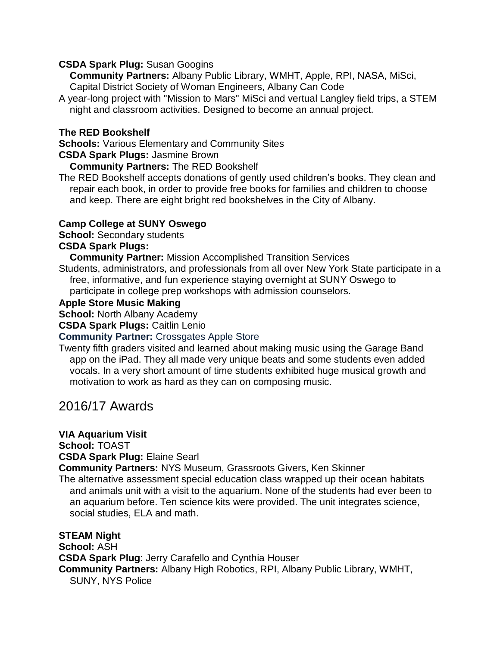#### **CSDA Spark Plug:** Susan Googins

**Community Partners:** Albany Public Library, WMHT, Apple, RPI, NASA, MiSci, Capital District Society of Woman Engineers, Albany Can Code

A year-long project with "Mission to Mars" MiSci and vertual Langley field trips, a STEM night and classroom activities. Designed to become an annual project.

#### **The RED Bookshelf**

**Schools:** Various Elementary and Community Sites

#### **CSDA Spark Plugs:** Jasmine Brown

**Community Partners:** The RED Bookshelf

The RED Bookshelf accepts donations of gently used children's books. They clean and repair each book, in order to provide free books for families and children to choose and keep. There are eight bright red bookshelves in the City of Albany.

#### **Camp College at SUNY Oswego**

**School:** Secondary students

#### **CSDA Spark Plugs:**

**Community Partner:** Mission Accomplished Transition Services

Students, administrators, and professionals from all over New York State participate in a free, informative, and fun experience staying overnight at SUNY Oswego to participate in college prep workshops with admission counselors.

#### **Apple Store Music Making**

**School:** North Albany Academy

**CSDA Spark Plugs:** Caitlin Lenio

#### **Community Partner:** Crossgates Apple Store

Twenty fifth graders visited and learned about making music using the Garage Band app on the iPad. They all made very unique beats and some students even added vocals. In a very short amount of time students exhibited huge musical growth and motivation to work as hard as they can on composing music.

# 2016/17 Awards

#### **VIA Aquarium Visit**

**School:** TOAST

**CSDA Spark Plug:** Elaine Searl

**Community Partners:** NYS Museum, Grassroots Givers, Ken Skinner

The alternative assessment special education class wrapped up their ocean habitats and animals unit with a visit to the aquarium. None of the students had ever been to an aquarium before. Ten science kits were provided. The unit integrates science, social studies, ELA and math.

#### **STEAM Night**

**School:** ASH **CSDA Spark Plug**: Jerry Carafello and Cynthia Houser **Community Partners:** Albany High Robotics, RPI, Albany Public Library, WMHT, SUNY, NYS Police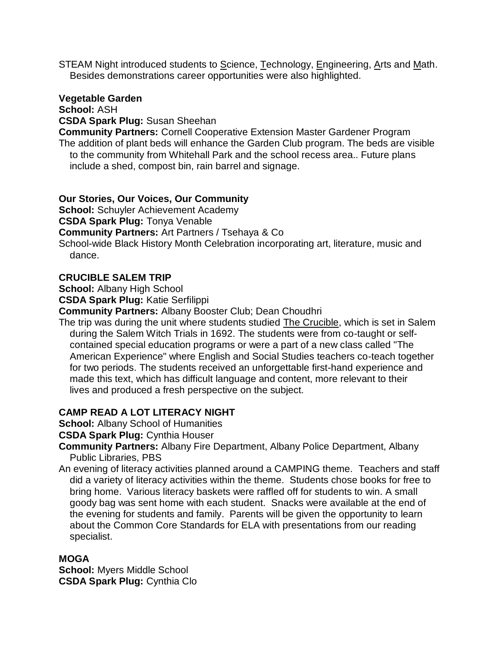STEAM Night introduced students to Science, Technology, Engineering, Arts and Math. Besides demonstrations career opportunities were also highlighted.

#### **Vegetable Garden**

**School:** ASH

**CSDA Spark Plug:** Susan Sheehan

**Community Partners:** Cornell Cooperative Extension Master Gardener Program The addition of plant beds will enhance the Garden Club program. The beds are visible to the community from Whitehall Park and the school recess area.. Future plans include a shed, compost bin, rain barrel and signage.

#### **Our Stories, Our Voices, Our Community**

**School:** Schuyler Achievement Academy

**CSDA Spark Plug:** Tonya Venable

**Community Partners:** Art Partners / Tsehaya & Co

School-wide Black History Month Celebration incorporating art, literature, music and dance.

#### **CRUCIBLE SALEM TRIP**

**School:** Albany High School

**CSDA Spark Plug:** Katie Serfilippi

**Community Partners:** Albany Booster Club; Dean Choudhri

The trip was during the unit where students studied The Crucible, which is set in Salem during the Salem Witch Trials in 1692. The students were from co-taught or selfcontained special education programs or were a part of a new class called "The American Experience" where English and Social Studies teachers co-teach together for two periods. The students received an unforgettable first-hand experience and made this text, which has difficult language and content, more relevant to their lives and produced a fresh perspective on the subject.

#### **CAMP READ A LOT LITERACY NIGHT**

**School:** Albany School of Humanities

#### **CSDA Spark Plug:** Cynthia Houser

- **Community Partners:** Albany Fire Department, Albany Police Department, Albany Public Libraries, PBS
- An evening of literacy activities planned around a CAMPING theme. Teachers and staff did a variety of literacy activities within the theme. Students chose books for free to bring home. Various literacy baskets were raffled off for students to win. A small goody bag was sent home with each student. Snacks were available at the end of the evening for students and family. Parents will be given the opportunity to learn about the Common Core Standards for ELA with presentations from our reading specialist.

#### **MOGA**

**School:** Myers Middle School **CSDA Spark Plug:** Cynthia Clo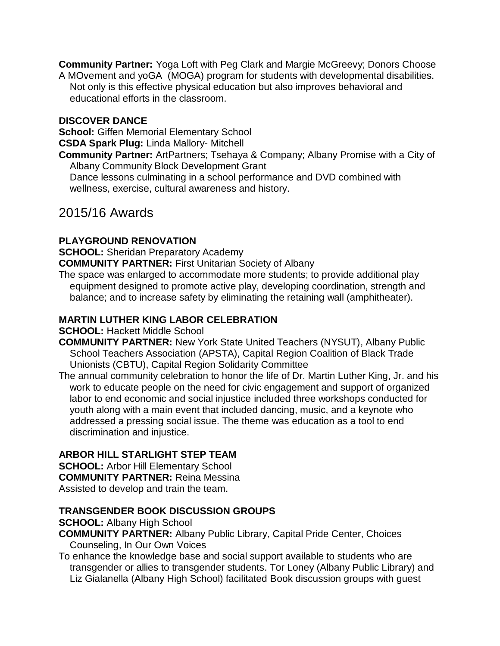**Community Partner:** Yoga Loft with Peg Clark and Margie McGreevy; Donors Choose A MOvement and yoGA (MOGA) program for students with developmental disabilities. Not only is this effective physical education but also improves behavioral and educational efforts in the classroom.

#### **DISCOVER DANCE**

**School:** Giffen Memorial Elementary School

**CSDA Spark Plug:** Linda Mallory- Mitchell

**Community Partner:** ArtPartners; Tsehaya & Company; Albany Promise with a City of Albany Community Block Development Grant

Dance lessons culminating in a school performance and DVD combined with wellness, exercise, cultural awareness and history.

## 2015/16 Awards

#### **PLAYGROUND RENOVATION**

**SCHOOL:** Sheridan Preparatory Academy

**COMMUNITY PARTNER:** First Unitarian Society of Albany

The space was enlarged to accommodate more students; to provide additional play equipment designed to promote active play, developing coordination, strength and balance; and to increase safety by eliminating the retaining wall (amphitheater).

#### **MARTIN LUTHER KING LABOR CELEBRATION**

**SCHOOL:** Hackett Middle School

- **COMMUNITY PARTNER:** New York State United Teachers (NYSUT), Albany Public School Teachers Association (APSTA), Capital Region Coalition of Black Trade Unionists (CBTU), Capital Region Solidarity Committee
- The annual community celebration to honor the life of Dr. Martin Luther King, Jr. and his work to educate people on the need for civic engagement and support of organized labor to end economic and social injustice included three workshops conducted for youth along with a main event that included dancing, music, and a keynote who addressed a pressing social issue. The theme was education as a tool to end discrimination and injustice.

#### **ARBOR HILL STARLIGHT STEP TEAM**

**SCHOOL: Arbor Hill Elementary School COMMUNITY PARTNER:** Reina Messina Assisted to develop and train the team.

#### **TRANSGENDER BOOK DISCUSSION GROUPS**

**SCHOOL:** Albany High School

**COMMUNITY PARTNER:** Albany Public Library, Capital Pride Center, Choices Counseling, In Our Own Voices

To enhance the knowledge base and social support available to students who are transgender or allies to transgender students. Tor Loney (Albany Public Library) and Liz Gialanella (Albany High School) facilitated Book discussion groups with guest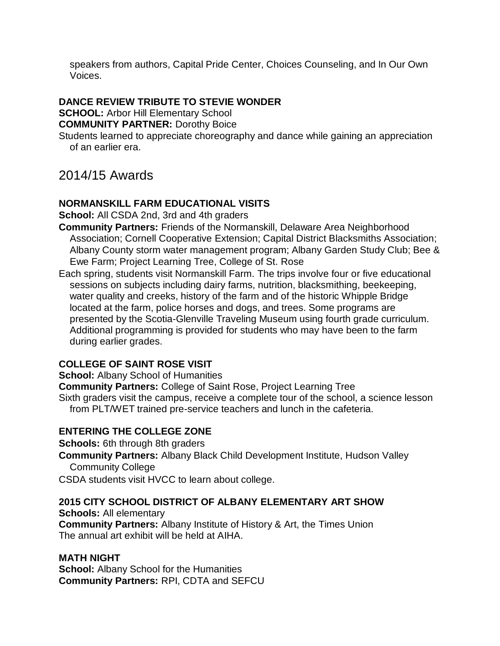speakers from authors, Capital Pride Center, Choices Counseling, and In Our Own Voices.

#### **DANCE REVIEW TRIBUTE TO STEVIE WONDER**

**SCHOOL: Arbor Hill Elementary School** 

**COMMUNITY PARTNER:** Dorothy Boice

Students learned to appreciate choreography and dance while gaining an appreciation of an earlier era.

# 2014/15 Awards

#### **NORMANSKILL FARM EDUCATIONAL VISITS**

**School:** All CSDA 2nd, 3rd and 4th graders

- **Community Partners:** Friends of the Normanskill, Delaware Area Neighborhood Association; Cornell Cooperative Extension; Capital District Blacksmiths Association; Albany County storm water management program; Albany Garden Study Club; Bee & Ewe Farm; Project Learning Tree, College of St. Rose
- Each spring, students visit Normanskill Farm. The trips involve four or five educational sessions on subjects including dairy farms, nutrition, blacksmithing, beekeeping, water quality and creeks, history of the farm and of the historic Whipple Bridge located at the farm, police horses and dogs, and trees. Some programs are presented by the Scotia-Glenville Traveling Museum using fourth grade curriculum. Additional programming is provided for students who may have been to the farm during earlier grades.

#### **COLLEGE OF SAINT ROSE VISIT**

**School:** Albany School of Humanities

**Community Partners:** College of Saint Rose, Project Learning Tree Sixth graders visit the campus, receive a complete tour of the school, a science lesson from PLT/WET trained pre-service teachers and lunch in the cafeteria.

#### **ENTERING THE COLLEGE ZONE**

**Schools:** 6th through 8th graders

**Community Partners:** Albany Black Child Development Institute, Hudson Valley Community College

CSDA students visit HVCC to learn about college.

#### **2015 CITY SCHOOL DISTRICT OF ALBANY ELEMENTARY ART SHOW**

**Schools:** All elementary **Community Partners:** Albany Institute of History & Art, the Times Union The annual art exhibit will be held at AIHA.

#### **MATH NIGHT**

**School:** Albany School for the Humanities **Community Partners:** RPI, CDTA and SEFCU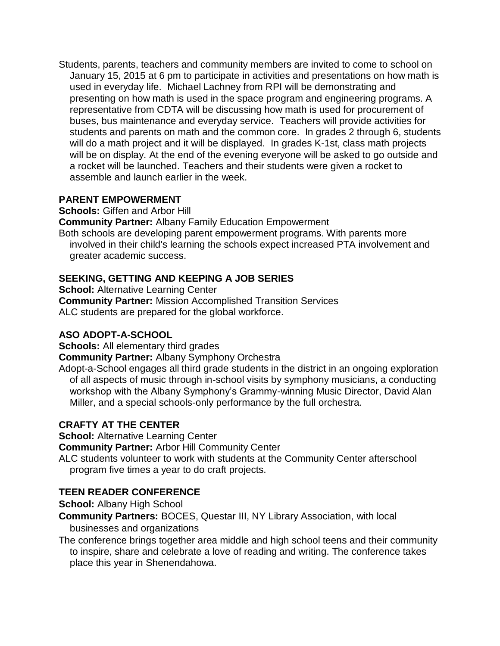Students, parents, teachers and community members are invited to come to school on January 15, 2015 at 6 pm to participate in activities and presentations on how math is used in everyday life. Michael Lachney from RPI will be demonstrating and presenting on how math is used in the space program and engineering programs. A representative from CDTA will be discussing how math is used for procurement of buses, bus maintenance and everyday service. Teachers will provide activities for students and parents on math and the common core. In grades 2 through 6, students will do a math project and it will be displayed. In grades K-1st, class math projects will be on display. At the end of the evening everyone will be asked to go outside and a rocket will be launched. Teachers and their students were given a rocket to assemble and launch earlier in the week.

#### **PARENT EMPOWERMENT**

**Schools:** Giffen and Arbor Hill

**Community Partner:** Albany Family Education Empowerment

Both schools are developing parent empowerment programs. With parents more involved in their child's learning the schools expect increased PTA involvement and greater academic success.

## **SEEKING, GETTING AND KEEPING A JOB SERIES**

**School: Alternative Learning Center Community Partner:** Mission Accomplished Transition Services ALC students are prepared for the global workforce.

## **ASO ADOPT-A-SCHOOL**

**Schools:** All elementary third grades

**Community Partner:** Albany Symphony Orchestra

Adopt-a-School engages all third grade students in the district in an ongoing exploration of all aspects of music through in-school visits by symphony musicians, a conducting workshop with the Albany Symphony's Grammy-winning Music Director, David Alan Miller, and a special schools-only performance by the full orchestra.

## **CRAFTY AT THE CENTER**

**School:** Alternative Learning Center

**Community Partner:** Arbor Hill Community Center

ALC students volunteer to work with students at the Community Center afterschool program five times a year to do craft projects.

## **TEEN READER CONFERENCE**

**School:** Albany High School

**Community Partners:** BOCES, Questar III, NY Library Association, with local businesses and organizations

The conference brings together area middle and high school teens and their community to inspire, share and celebrate a love of reading and writing. The conference takes place this year in Shenendahowa.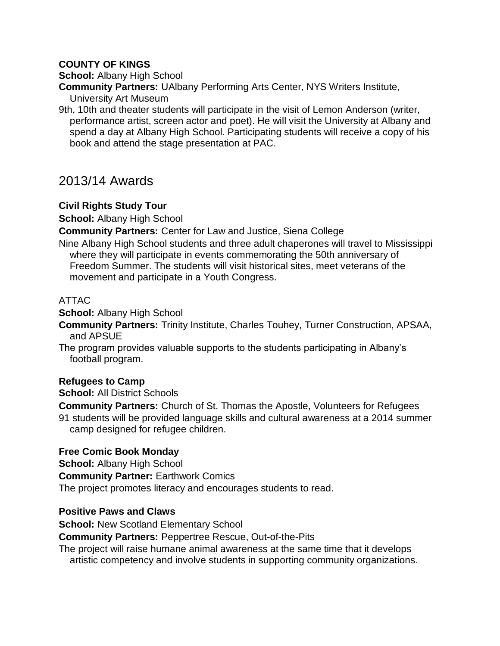#### **COUNTY OF KINGS**

**School:** Albany High School

**Community Partners:** UAlbany Performing Arts Center, NYS Writers Institute,

University Art Museum

9th, 10th and theater students will participate in the visit of Lemon Anderson (writer, performance artist, screen actor and poet). He will visit the University at Albany and spend a day at Albany High School. Participating students will receive a copy of his book and attend the stage presentation at PAC.

## 2013/14 Awards

#### **Civil Rights Study Tour**

**School:** Albany High School

**Community Partners:** Center for Law and Justice, Siena College

Nine Albany High School students and three adult chaperones will travel to Mississippi where they will participate in events commemorating the 50th anniversary of Freedom Summer. The students will visit historical sites, meet veterans of the movement and participate in a Youth Congress.

#### ATTAC

**School:** Albany High School

**Community Partners:** Trinity Institute, Charles Touhey, Turner Construction, APSAA, and APSUE

The program provides valuable supports to the students participating in Albany's football program.

#### **Refugees to Camp**

**School:** All District Schools

**Community Partners:** Church of St. Thomas the Apostle, Volunteers for Refugees

91 students will be provided language skills and cultural awareness at a 2014 summer camp designed for refugee children.

#### **Free Comic Book Monday**

**School:** Albany High School

**Community Partner:** Earthwork Comics

The project promotes literacy and encourages students to read.

#### **Positive Paws and Claws**

**School: New Scotland Elementary School** 

**Community Partners:** Peppertree Rescue, Out-of-the-Pits

The project will raise humane animal awareness at the same time that it develops artistic competency and involve students in supporting community organizations.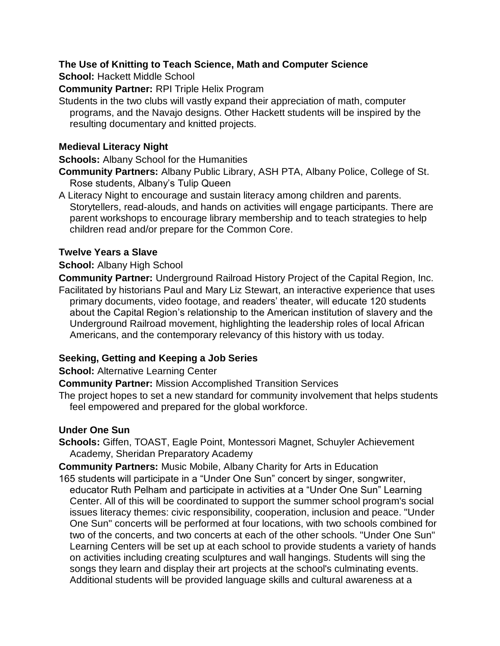#### **The Use of Knitting to Teach Science, Math and Computer Science**

**School:** Hackett Middle School

**Community Partner:** RPI Triple Helix Program

Students in the two clubs will vastly expand their appreciation of math, computer programs, and the Navajo designs. Other Hackett students will be inspired by the resulting documentary and knitted projects.

#### **Medieval Literacy Night**

**Schools:** Albany School for the Humanities

**Community Partners:** Albany Public Library, ASH PTA, Albany Police, College of St. Rose students, Albany's Tulip Queen

A Literacy Night to encourage and sustain literacy among children and parents. Storytellers, read-alouds, and hands on activities will engage participants. There are parent workshops to encourage library membership and to teach strategies to help children read and/or prepare for the Common Core.

#### **Twelve Years a Slave**

#### **School:** Albany High School

**Community Partner:** Underground Railroad History Project of the Capital Region, Inc. Facilitated by historians Paul and Mary Liz Stewart, an interactive experience that uses primary documents, video footage, and readers' theater, will educate 120 students about the Capital Region's relationship to the American institution of slavery and the Underground Railroad movement, highlighting the leadership roles of local African Americans, and the contemporary relevancy of this history with us today.

#### **Seeking, Getting and Keeping a Job Series**

**School: Alternative Learning Center** 

**Community Partner:** Mission Accomplished Transition Services

The project hopes to set a new standard for community involvement that helps students feel empowered and prepared for the global workforce.

#### **Under One Sun**

**Schools:** Giffen, TOAST, Eagle Point, Montessori Magnet, Schuyler Achievement Academy, Sheridan Preparatory Academy

**Community Partners:** Music Mobile, Albany Charity for Arts in Education

165 students will participate in a "Under One Sun" concert by singer, songwriter, educator Ruth Pelham and participate in activities at a "Under One Sun" Learning Center. All of this will be coordinated to support the summer school program's social issues literacy themes: civic responsibility, cooperation, inclusion and peace. "Under One Sun" concerts will be performed at four locations, with two schools combined for two of the concerts, and two concerts at each of the other schools. "Under One Sun" Learning Centers will be set up at each school to provide students a variety of hands on activities including creating sculptures and wall hangings. Students will sing the songs they learn and display their art projects at the school's culminating events. Additional students will be provided language skills and cultural awareness at a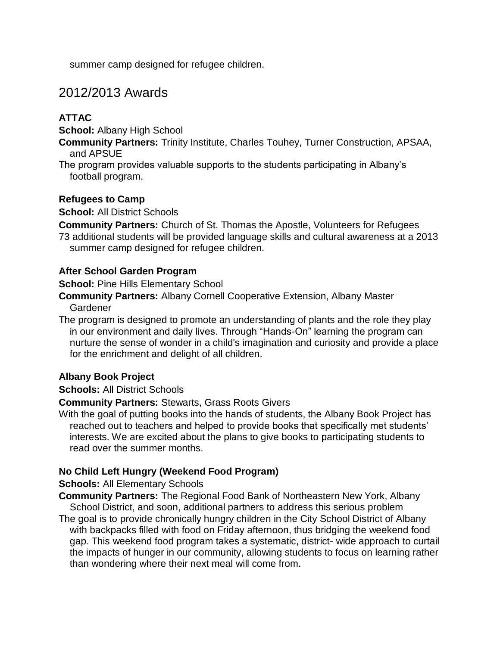summer camp designed for refugee children.

# 2012/2013 Awards

## **ATTAC**

**School:** Albany High School

**Community Partners:** Trinity Institute, Charles Touhey, Turner Construction, APSAA, and APSUE

The program provides valuable supports to the students participating in Albany's football program.

#### **Refugees to Camp**

**School:** All District Schools

**Community Partners:** Church of St. Thomas the Apostle, Volunteers for Refugees

73 additional students will be provided language skills and cultural awareness at a 2013 summer camp designed for refugee children.

#### **After School Garden Program**

**School: Pine Hills Elementary School** 

**Community Partners:** Albany Cornell Cooperative Extension, Albany Master Gardener

The program is designed to promote an understanding of plants and the role they play in our environment and daily lives. Through "Hands-On" learning the program can nurture the sense of wonder in a child's imagination and curiosity and provide a place for the enrichment and delight of all children.

#### **Albany Book Project**

#### **Schools:** All District Schools

**Community Partners:** Stewarts, Grass Roots Givers

With the goal of putting books into the hands of students, the Albany Book Project has reached out to teachers and helped to provide books that specifically met students' interests. We are excited about the plans to give books to participating students to read over the summer months.

#### **No Child Left Hungry (Weekend Food Program)**

#### **Schools:** All Elementary Schools

**Community Partners:** The Regional Food Bank of Northeastern New York, Albany School District, and soon, additional partners to address this serious problem

The goal is to provide chronically hungry children in the City School District of Albany with backpacks filled with food on Friday afternoon, thus bridging the weekend food gap. This weekend food program takes a systematic, district- wide approach to curtail the impacts of hunger in our community, allowing students to focus on learning rather than wondering where their next meal will come from.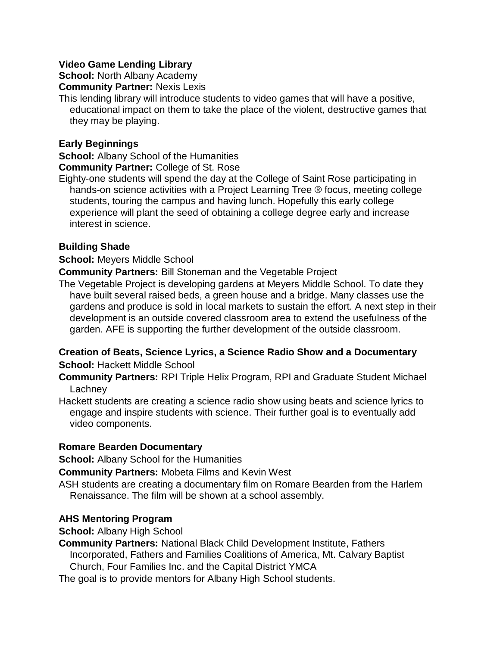#### **Video Game Lending Library**

**School: North Albany Academy** 

**Community Partner:** Nexis Lexis

This lending library will introduce students to video games that will have a positive, educational impact on them to take the place of the violent, destructive games that they may be playing.

#### **Early Beginnings**

**School:** Albany School of the Humanities

#### **Community Partner:** College of St. Rose

Eighty-one students will spend the day at the College of Saint Rose participating in hands-on science activities with a Project Learning Tree ® focus, meeting college students, touring the campus and having lunch. Hopefully this early college experience will plant the seed of obtaining a college degree early and increase interest in science.

#### **Building Shade**

**School:** Meyers Middle School

**Community Partners:** Bill Stoneman and the Vegetable Project

The Vegetable Project is developing gardens at Meyers Middle School. To date they have built several raised beds, a green house and a bridge. Many classes use the gardens and produce is sold in local markets to sustain the effort. A next step in their development is an outside covered classroom area to extend the usefulness of the garden. AFE is supporting the further development of the outside classroom.

#### **Creation of Beats, Science Lyrics, a Science Radio Show and a Documentary School:** Hackett Middle School

- **Community Partners:** RPI Triple Helix Program, RPI and Graduate Student Michael **Lachney**
- Hackett students are creating a science radio show using beats and science lyrics to engage and inspire students with science. Their further goal is to eventually add video components.

#### **Romare Bearden Documentary**

**School:** Albany School for the Humanities

**Community Partners:** Mobeta Films and Kevin West

ASH students are creating a documentary film on Romare Bearden from the Harlem Renaissance. The film will be shown at a school assembly.

#### **AHS Mentoring Program**

**School:** Albany High School

**Community Partners:** National Black Child Development Institute, Fathers Incorporated, Fathers and Families Coalitions of America, Mt. Calvary Baptist Church, Four Families Inc. and the Capital District YMCA

The goal is to provide mentors for Albany High School students.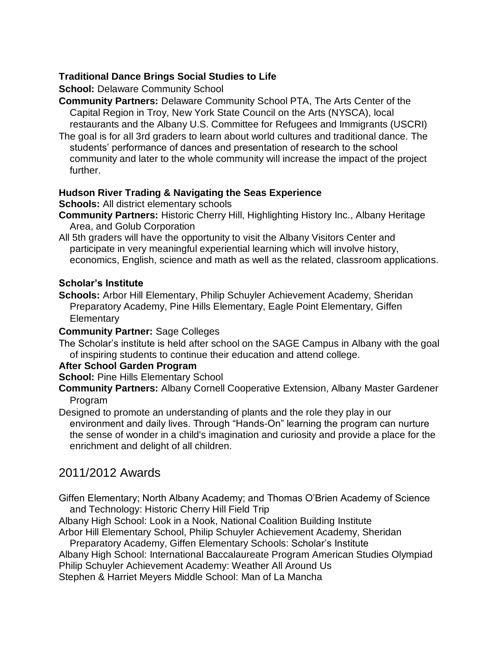#### **Traditional Dance Brings Social Studies to Life**

**School: Delaware Community School** 

**Community Partners:** Delaware Community School PTA, The Arts Center of the Capital Region in Troy, New York State Council on the Arts (NYSCA), local restaurants and the Albany U.S. Committee for Refugees and Immigrants (USCRI)

The goal is for all 3rd graders to learn about world cultures and traditional dance. The students' performance of dances and presentation of research to the school community and later to the whole community will increase the impact of the project further.

#### **Hudson River Trading & Navigating the Seas Experience**

#### **Schools:** All district elementary schools

- **Community Partners:** Historic Cherry Hill, Highlighting History Inc., Albany Heritage Area, and Golub Corporation
- All 5th graders will have the opportunity to visit the Albany Visitors Center and participate in very meaningful experiential learning which will involve history, economics, English, science and math as well as the related, classroom applications.

#### **Scholar's Institute**

**Schools:** Arbor Hill Elementary, Philip Schuyler Achievement Academy, Sheridan Preparatory Academy, Pine Hills Elementary, Eagle Point Elementary, Giffen **Elementary** 

#### **Community Partner:** Sage Colleges

The Scholar's institute is held after school on the SAGE Campus in Albany with the goal of inspiring students to continue their education and attend college.

#### **After School Garden Program**

- **School: Pine Hills Elementary School**
- **Community Partners:** Albany Cornell Cooperative Extension, Albany Master Gardener Program

Designed to promote an understanding of plants and the role they play in our environment and daily lives. Through "Hands-On" learning the program can nurture the sense of wonder in a child's imagination and curiosity and provide a place for the enrichment and delight of all children.

## 2011/2012 Awards

Giffen Elementary; North Albany Academy; and Thomas O'Brien Academy of Science and Technology: Historic Cherry Hill Field Trip

Albany High School: Look in a Nook, National Coalition Building Institute Arbor Hill Elementary School, Philip Schuyler Achievement Academy, Sheridan

Preparatory Academy, Giffen Elementary Schools: Scholar's Institute Albany High School: International Baccalaureate Program American Studies Olympiad Philip Schuyler Achievement Academy: Weather All Around Us Stephen & Harriet Meyers Middle School: Man of La Mancha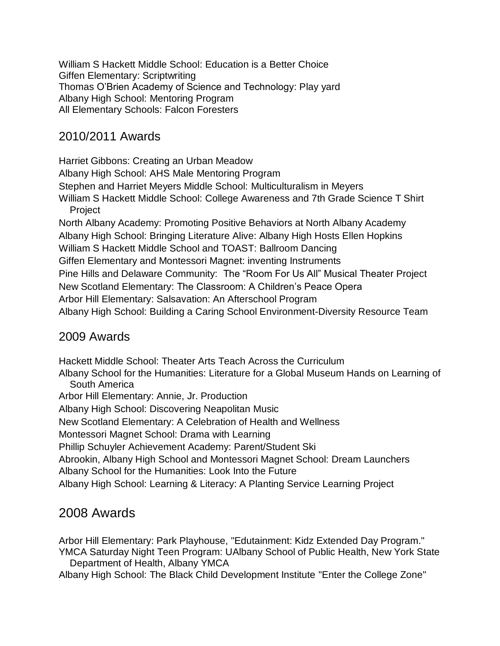William S Hackett Middle School: Education is a Better Choice Giffen Elementary: Scriptwriting Thomas O'Brien Academy of Science and Technology: Play yard Albany High School: Mentoring Program All Elementary Schools: Falcon Foresters

## 2010/2011 Awards

Harriet Gibbons: Creating an Urban Meadow Albany High School: AHS Male Mentoring Program Stephen and Harriet Meyers Middle School: Multiculturalism in Meyers William S Hackett Middle School: College Awareness and 7th Grade Science T Shirt Project North Albany Academy: Promoting Positive Behaviors at North Albany Academy Albany High School: Bringing Literature Alive: Albany High Hosts Ellen Hopkins William S Hackett Middle School and TOAST: Ballroom Dancing Giffen Elementary and Montessori Magnet: inventing Instruments Pine Hills and Delaware Community: The "Room For Us All" Musical Theater Project New Scotland Elementary: The Classroom: A Children's Peace Opera Arbor Hill Elementary: Salsavation: An Afterschool Program Albany High School: Building a Caring School Environment-Diversity Resource Team

## 2009 Awards

Hackett Middle School: Theater Arts Teach Across the Curriculum Albany School for the Humanities: Literature for a Global Museum Hands on Learning of South America Arbor Hill Elementary: Annie, Jr. Production Albany High School: Discovering Neapolitan Music New Scotland Elementary: A Celebration of Health and Wellness Montessori Magnet School: Drama with Learning Phillip Schuyler Achievement Academy: Parent/Student Ski Abrookin, Albany High School and Montessori Magnet School: Dream Launchers Albany School for the Humanities: Look Into the Future Albany High School: Learning & Literacy: A Planting Service Learning Project

# 2008 Awards

Arbor Hill Elementary: Park Playhouse, "Edutainment: Kidz Extended Day Program." YMCA Saturday Night Teen Program: UAlbany School of Public Health, New York State Department of Health, Albany YMCA

Albany High School: The Black Child Development Institute "Enter the College Zone"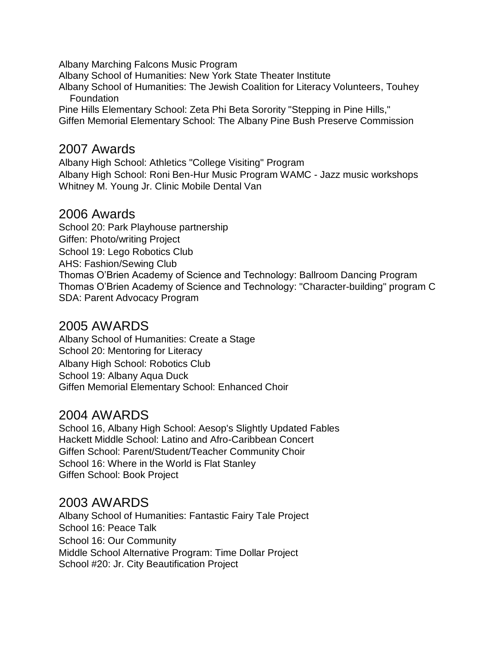Albany Marching Falcons Music Program

Albany School of Humanities: New York State Theater Institute

Albany School of Humanities: The Jewish Coalition for Literacy Volunteers, Touhey Foundation

Pine Hills Elementary School: Zeta Phi Beta Sorority "Stepping in Pine Hills," Giffen Memorial Elementary School: The Albany Pine Bush Preserve Commission

# 2007 Awards

Albany High School: Athletics "College Visiting" Program Albany High School: Roni Ben-Hur Music Program WAMC - Jazz music workshops Whitney M. Young Jr. Clinic Mobile Dental Van

## 2006 Awards

School 20: Park Playhouse partnership Giffen: Photo/writing Project School 19: Lego Robotics Club AHS: Fashion/Sewing Club Thomas O'Brien Academy of Science and Technology: Ballroom Dancing Program Thomas O'Brien Academy of Science and Technology: "Character-building" program C SDA: Parent Advocacy Program

# 2005 AWARDS

Albany School of Humanities: Create a Stage School 20: Mentoring for Literacy Albany High School: Robotics Club School 19: Albany Aqua Duck Giffen Memorial Elementary School: Enhanced Choir

# 2004 AWARDS

School 16, Albany High School: Aesop's Slightly Updated Fables Hackett Middle School: Latino and Afro-Caribbean Concert Giffen School: Parent/Student/Teacher Community Choir School 16: Where in the World is Flat Stanley Giffen School: Book Project

# 2003 AWARDS

Albany School of Humanities: Fantastic Fairy Tale Project School 16: Peace Talk School 16: Our Community Middle School Alternative Program: Time Dollar Project School #20: Jr. City Beautification Project